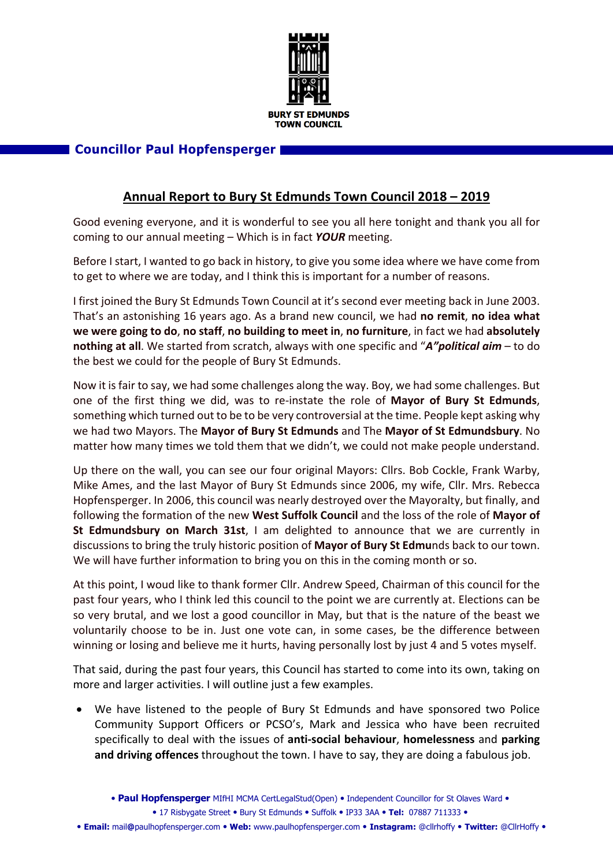

## **Councillor Paul Hopfensperger**

## **Annual Report to Bury St Edmunds Town Council 2018 – 2019**

Good evening everyone, and it is wonderful to see you all here tonight and thank you all for coming to our annual meeting – Which is in fact *YOUR* meeting.

Before I start, I wanted to go back in history, to give you some idea where we have come from to get to where we are today, and I think this is important for a number of reasons.

I first joined the Bury St Edmunds Town Council at it's second ever meeting back in June 2003. That's an astonishing 16 years ago. As a brand new council, we had **no remit**, **no idea what we were going to do**, **no staff**, **no building to meet in**, **no furniture**, in fact we had **absolutely nothing at all**. We started from scratch, always with one specific and "*A"political aim* – to do the best we could for the people of Bury St Edmunds.

Now it is fair to say, we had some challenges along the way. Boy, we had some challenges. But one of the first thing we did, was to re-instate the role of **Mayor of Bury St Edmunds**, something which turned out to be to be very controversial at the time. People kept asking why we had two Mayors. The **Mayor of Bury St Edmunds** and The **Mayor of St Edmundsbury**. No matter how many times we told them that we didn't, we could not make people understand.

Up there on the wall, you can see our four original Mayors: Cllrs. Bob Cockle, Frank Warby, Mike Ames, and the last Mayor of Bury St Edmunds since 2006, my wife, Cllr. Mrs. Rebecca Hopfensperger. In 2006, this council was nearly destroyed over the Mayoralty, but finally, and following the formation of the new **West Suffolk Council** and the loss of the role of **Mayor of St Edmundsbury on March 31st**, I am delighted to announce that we are currently in discussions to bring the truly historic position of **Mayor of Bury St Edmu**nds back to our town. We will have further information to bring you on this in the coming month or so.

At this point, I woud like to thank former Cllr. Andrew Speed, Chairman of this council for the past four years, who I think led this council to the point we are currently at. Elections can be so very brutal, and we lost a good councillor in May, but that is the nature of the beast we voluntarily choose to be in. Just one vote can, in some cases, be the difference between winning or losing and believe me it hurts, having personally lost by just 4 and 5 votes myself.

That said, during the past four years, this Council has started to come into its own, taking on more and larger activities. I will outline just a few examples.

• We have listened to the people of Bury St Edmunds and have sponsored two Police Community Support Officers or PCSO's, Mark and Jessica who have been recruited specifically to deal with the issues of **anti-social behaviour**, **homelessness** and **parking and driving offences** throughout the town. I have to say, they are doing a fabulous job.